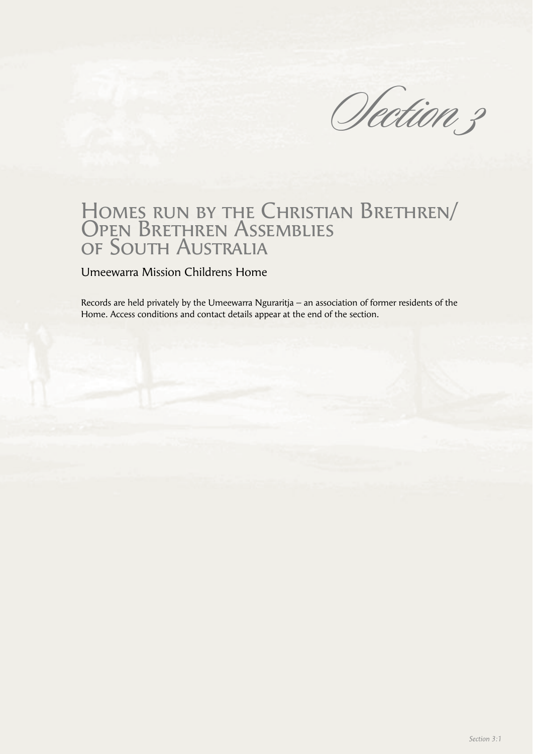Section 3

# Homes run by the Christian Brethren/ Open Brethren Assemblies of South Australia

Umeewarra Mission Childrens Home

Records are held privately by the Umeewarra Nguraritja – an association of former residents of the Home. Access conditions and contact details appear at the end of the section.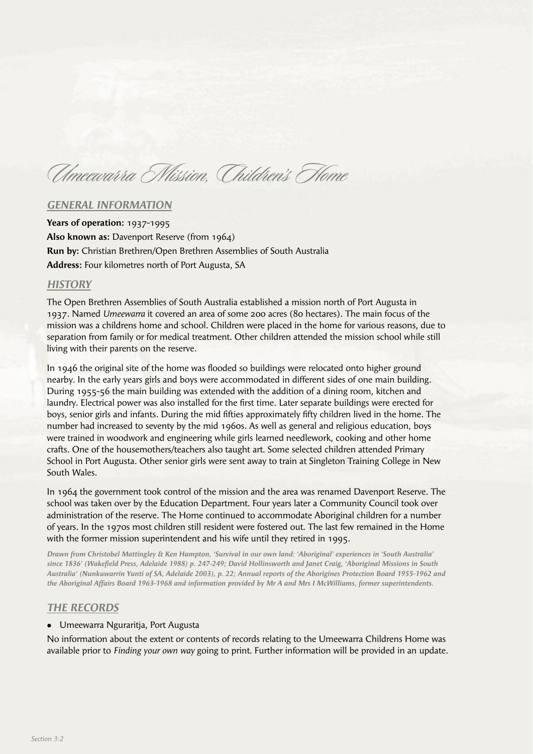Umeewarra Mission, Children's Home

### *GENERAL INFORMATION*

**Years of operation:** 1937-1995 **Also known as:** Davenport Reserve (from 1964) **Run by:** Christian Brethren/Open Brethren Assemblies of South Australia **Address:** Four kilometres north of Port Augusta, SA

#### *HISTORY*

The Open Brethren Assemblies of South Australia established a mission north of Port Augusta in 1937. Named *Umeewarra* it covered an area of some 200 acres (80 hectares). The main focus of the mission was a childrens home and school. Children were placed in the home for various reasons, due to separation from family or for medical treatment. Other children attended the mission school while still living with their parents on the reserve.

In 1946 the original site of the home was flooded so buildings were relocated onto higher ground nearby. In the early years girls and boys were accommodated in different sides of one main building. During 1955-56 the main building was extended with the addition of a dining room, kitchen and laundry. Electrical power was also installed for the first time. Later separate buildings were erected for boys, senior girls and infants. During the mid fifties approximately fifty children lived in the home. The number had increased to seventy by the mid 1960s. As well as general and religious education, boys were trained in woodwork and engineering while girls learned needlework, cooking and other home crafts. One of the housemothers/teachers also taught art. Some selected children attended Primary School in Port Augusta. Other senior girls were sent away to train at Singleton Training College in New South Wales.

In 1964 the government took control of the mission and the area was renamed Davenport Reserve. The school was taken over by the Education Department. Four years later a Community Council took over administration of the reserve. The Home continued to accommodate Aboriginal children for a number of years. In the 1970s most children still resident were fostered out. The last few remained in the Home with the former mission superintendent and his wife until they retired in 1995.

*Drawn from Christobel Mattingley & Ken Hampton, 'Survival in our own land: 'Aboriginal' experiences in 'South Australia'*  since 1836' (Wakefield Press, Adelaide 1988) p. 247-249; David Hollinsworth and Janet Craig, 'Aboriginal Missions in South *Australia' (Nunkuwarrin Yunti of SA, Adelaide 2003), p. 22; Annual reports of the Aborigines Protection Board 1955-1962 and the Aboriginal Affairs Board 1963-1968 and information provided by Mr A and Mrs I McWilliams, former superintendents.*

## *THE RECORDS*

#### • Umeewarra Nguraritja, Port Augusta

No information about the extent or contents of records relating to the Umeewarra Childrens Home was available prior to *Finding your own way* going to print. Further information will be provided in an update.